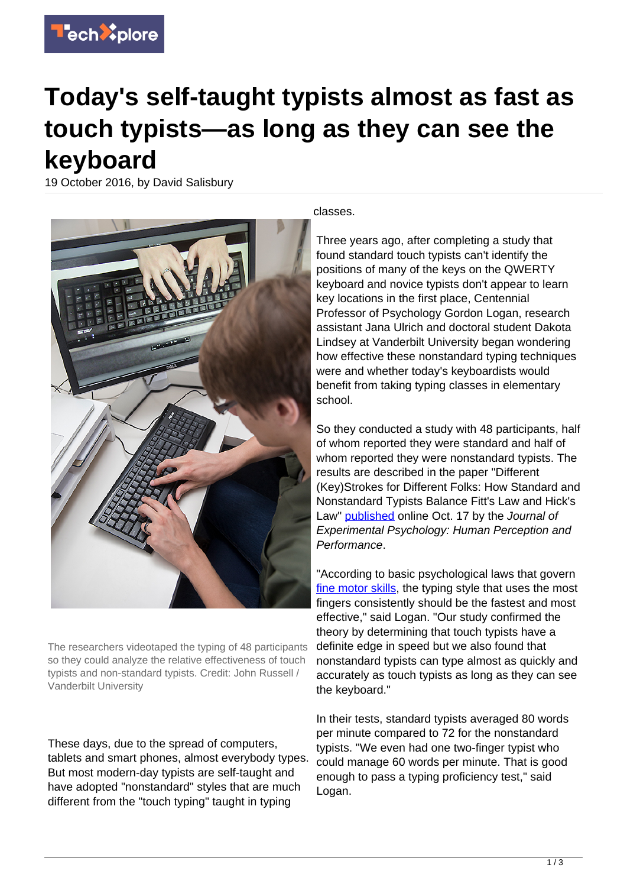

## **Today's self-taught typists almost as fast as touch typists—as long as they can see the keyboard**

19 October 2016, by David Salisbury



The researchers videotaped the typing of 48 participants so they could analyze the relative effectiveness of touch typists and non-standard typists. Credit: John Russell / Vanderbilt University

These days, due to the spread of computers, tablets and smart phones, almost everybody types. But most modern-day typists are self-taught and have adopted "nonstandard" styles that are much different from the "touch typing" taught in typing

classes.

Three years ago, after completing a study that found standard touch typists can't identify the positions of many of the keys on the QWERTY keyboard and novice typists don't appear to learn key locations in the first place, Centennial Professor of Psychology Gordon Logan, research assistant Jana Ulrich and doctoral student Dakota Lindsey at Vanderbilt University began wondering how effective these nonstandard typing techniques were and whether today's keyboardists would benefit from taking typing classes in elementary school.

So they conducted a study with 48 participants, half of whom reported they were standard and half of whom reported they were nonstandard typists. The results are described in the paper "Different (Key)Strokes for Different Folks: How Standard and Nonstandard Typists Balance Fitt's Law and Hick's Law" [published](http://www.apa.org/pubs/journals/xhp/index.aspx) online Oct. 17 by the Journal of Experimental Psychology: Human Perception and Performance.

"According to basic psychological laws that govern [fine motor skills](https://techxplore.com/tags/fine+motor+skills/), the typing style that uses the most fingers consistently should be the fastest and most effective," said Logan. "Our study confirmed the theory by determining that touch typists have a definite edge in speed but we also found that nonstandard typists can type almost as quickly and accurately as touch typists as long as they can see the keyboard."

In their tests, standard typists averaged 80 words per minute compared to 72 for the nonstandard typists. "We even had one two-finger typist who could manage 60 words per minute. That is good enough to pass a typing proficiency test," said Logan.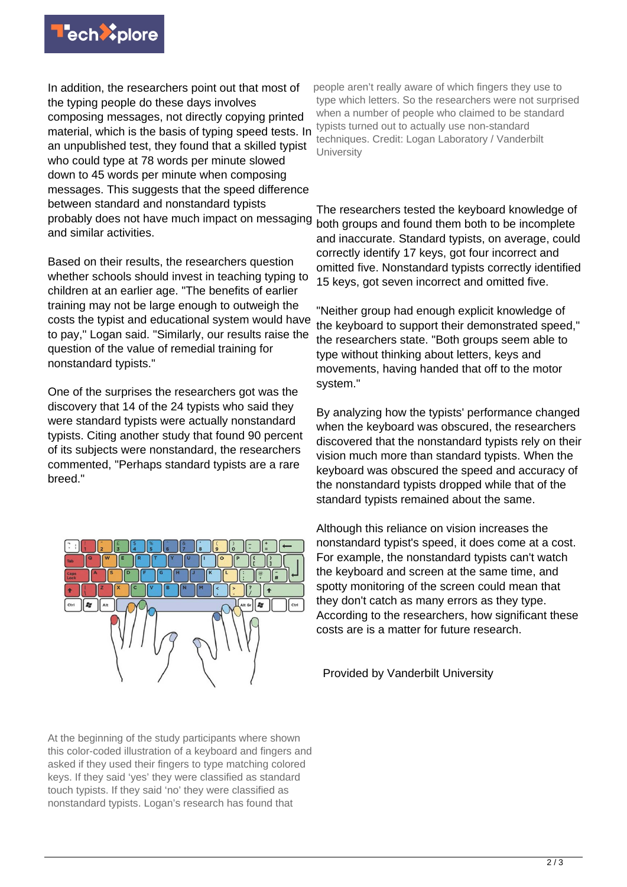

In addition, the researchers point out that most of the typing people do these days involves composing messages, not directly copying printed material, which is the basis of typing speed tests. In an unpublished test, they found that a skilled typist who could type at 78 words per minute slowed down to 45 words per minute when composing messages. This suggests that the speed difference between standard and nonstandard typists probably does not have much impact on messaging and similar activities.

Based on their results, the researchers question whether schools should invest in teaching typing to children at an earlier age. "The benefits of earlier training may not be large enough to outweigh the costs the typist and educational system would have to pay," Logan said. "Similarly, our results raise the question of the value of remedial training for nonstandard typists."

One of the surprises the researchers got was the discovery that 14 of the 24 typists who said they were standard typists were actually nonstandard typists. Citing another study that found 90 percent of its subjects were nonstandard, the researchers commented, "Perhaps standard typists are a rare breed."



people aren't really aware of which fingers they use to type which letters. So the researchers were not surprised when a number of people who claimed to be standard typists turned out to actually use non-standard techniques. Credit: Logan Laboratory / Vanderbilt **University** 

The researchers tested the keyboard knowledge of both groups and found them both to be incomplete and inaccurate. Standard typists, on average, could correctly identify 17 keys, got four incorrect and omitted five. Nonstandard typists correctly identified 15 keys, got seven incorrect and omitted five.

"Neither group had enough explicit knowledge of the keyboard to support their demonstrated speed," the researchers state. "Both groups seem able to type without thinking about letters, keys and movements, having handed that off to the motor system."

By analyzing how the typists' performance changed when the keyboard was obscured, the researchers discovered that the nonstandard typists rely on their vision much more than standard typists. When the keyboard was obscured the speed and accuracy of the nonstandard typists dropped while that of the standard typists remained about the same.

Although this reliance on vision increases the nonstandard typist's speed, it does come at a cost. For example, the nonstandard typists can't watch the keyboard and screen at the same time, and spotty monitoring of the screen could mean that they don't catch as many errors as they type. According to the researchers, how significant these costs are is a matter for future research.

Provided by Vanderbilt University

At the beginning of the study participants where shown this color-coded illustration of a keyboard and fingers and asked if they used their fingers to type matching colored keys. If they said 'yes' they were classified as standard touch typists. If they said 'no' they were classified as nonstandard typists. Logan's research has found that